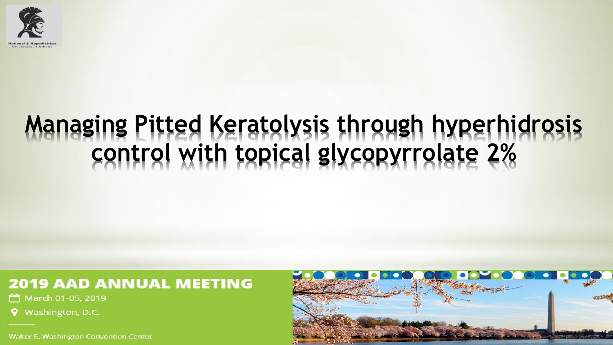

# **Managing Pitted Keratolysis through hyperhidrosis** control with topical glycopyrrolate 2%

### **2019 AAD ANNUAL MEETING**

March 01-05, 2019

Washington, D.C.

**Walter E. Washington Convention Center** 

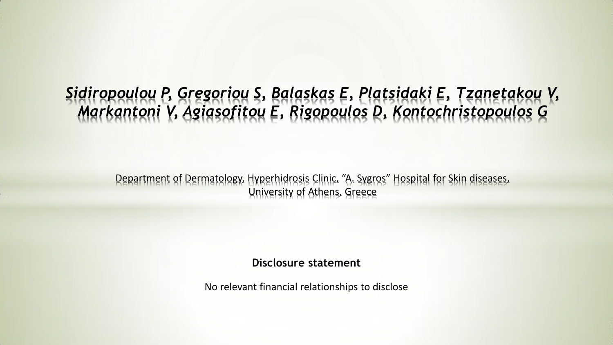## *Sidiropoulou P, Gregoriou S, Balaskas E, Platsidaki E, Tzanetakou V, Markantoni V, Agiasofitou E, Rigopoulos D, Kontochristopoulos G*

Department of Dermatology, Hyperhidrosis Clinic, "A. Sygros" Hospital for Skin diseases, University of Athens, Greece

**Disclosure statement**

No relevant financial relationships to disclose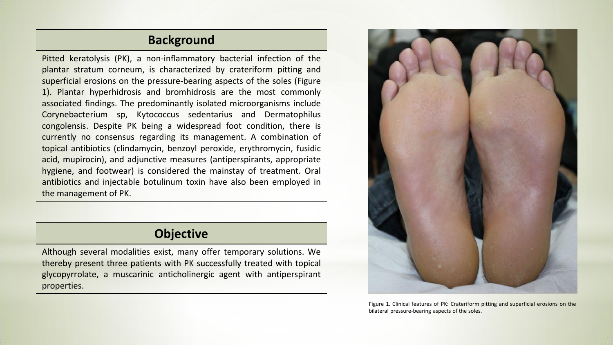#### **Background**

Pitted keratolysis (PK), a non-inflammatory bacterial infection of the plantar stratum corneum, is characterized by crateriform pitting and superficial erosions on the pressure-bearing aspects of the soles (Figure 1). Plantar hyperhidrosis and bromhidrosis are the most commonly associated findings. The predominantly isolated microorganisms include Corynebacterium sp, Kytococcus sedentarius and Dermatophilus congolensis. Despite PK being a widespread foot condition, there is currently no consensus regarding its management. A combination of topical antibiotics (clindamycin, benzoyl peroxide, erythromycin, fusidic acid, mupirocin), and adjunctive measures (antiperspirants, appropriate hygiene, and footwear) is considered the mainstay of treatment. Oral antibiotics and injectable botulinum toxin have also been employed in the management of PK.

#### **Objective**

Although several modalities exist, many offer temporary solutions. We thereby present three patients with PK successfully treated with topical glycopyrrolate, a muscarinic anticholinergic agent with antiperspirant properties.



Figure 1. Clinical features of PK: Crateriform pitting and superficial erosions on the bilateral pressure-bearing aspects of the soles.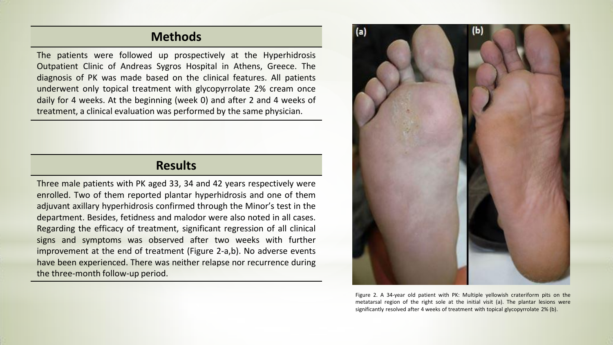#### **Methods**

The patients were followed up prospectively at the Hyperhidrosis Outpatient Clinic of Andreas Sygros Hospital in Athens, Greece. The diagnosis of PK was made based on the clinical features. All patients underwent only topical treatment with glycopyrrolate 2% cream once daily for 4 weeks. At the beginning (week 0) and after 2 and 4 weeks of treatment, a clinical evaluation was performed by the same physician.

#### **Results**

Three male patients with PK aged 33, 34 and 42 years respectively were enrolled. Two of them reported plantar hyperhidrosis and one of them adjuvant axillary hyperhidrosis confirmed through the Minor's test in the department. Besides, fetidness and malodor were also noted in all cases. Regarding the efficacy of treatment, significant regression of all clinical signs and symptoms was observed after two weeks with further improvement at the end of treatment (Figure 2-a,b). No adverse events have been experienced. There was neither relapse nor recurrence during the three-month follow-up period.



Figure 2. A 34-year old patient with PK: Multiple yellowish crateriform pits on the metatarsal region of the right sole at the initial visit (a). The plantar lesions were significantly resolved after 4 weeks of treatment with topical glycopyrrolate 2% (b).